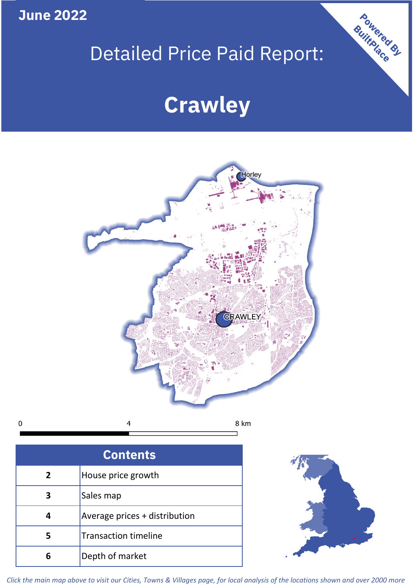**June 2022**

 $\mathbf 0$ 

# Detailed Price Paid Report:

# **Crawley**



| <b>Contents</b> |                               |  |  |
|-----------------|-------------------------------|--|--|
| $\overline{2}$  | House price growth            |  |  |
|                 | Sales map                     |  |  |
|                 | Average prices + distribution |  |  |
| 5               | <b>Transaction timeline</b>   |  |  |
| ĥ               | Depth of market               |  |  |



Powered By

*Click the main map above to visit our Cities, Towns & Villages page, for local analysis of the locations shown and over 2000 more*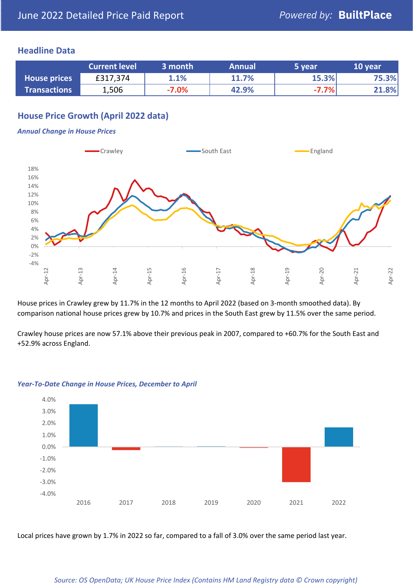# **Headline Data**

|                     | <b>Current level</b> | 3 month | <b>Annual</b> | 5 year  | 10 year |
|---------------------|----------------------|---------|---------------|---------|---------|
| <b>House prices</b> | £317,374             | 1.1%    | 11.7%         | 15.3%   | 75.3%   |
| <b>Transactions</b> | 1,506                | $-7.0%$ | 42.9%         | $-7.7%$ | 21.8%   |

# **House Price Growth (April 2022 data)**

#### *Annual Change in House Prices*



House prices in Crawley grew by 11.7% in the 12 months to April 2022 (based on 3-month smoothed data). By comparison national house prices grew by 10.7% and prices in the South East grew by 11.5% over the same period.

Crawley house prices are now 57.1% above their previous peak in 2007, compared to +60.7% for the South East and +52.9% across England.



#### *Year-To-Date Change in House Prices, December to April*

Local prices have grown by 1.7% in 2022 so far, compared to a fall of 3.0% over the same period last year.

#### *Source: OS OpenData; UK House Price Index (Contains HM Land Registry data © Crown copyright)*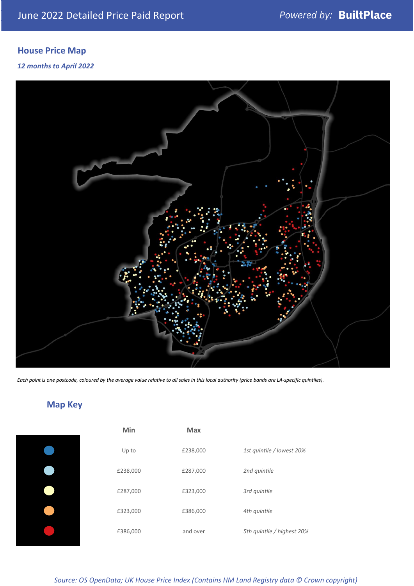# **House Price Map**

# *12 months to April 2022*



*Each point is one postcode, coloured by the average value relative to all sales in this local authority (price bands are LA-specific quintiles).*

**Map Key**

| Min      | <b>Max</b> |                            |
|----------|------------|----------------------------|
| Up to    | £238,000   | 1st quintile / lowest 20%  |
| £238,000 | £287,000   | 2nd quintile               |
| £287,000 | £323,000   | 3rd quintile               |
| £323,000 | £386,000   | 4th quintile               |
| £386,000 | and over   | 5th quintile / highest 20% |

### *Source: OS OpenData; UK House Price Index (Contains HM Land Registry data © Crown copyright)*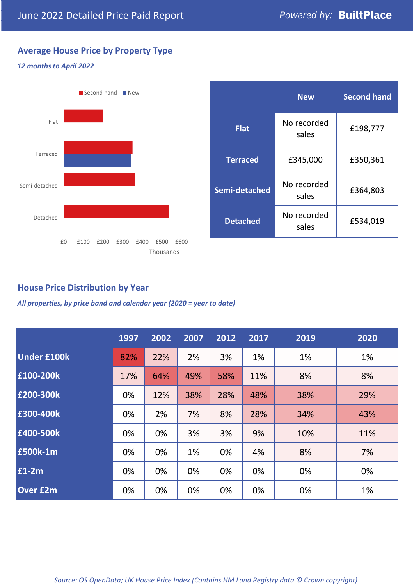# **Average House Price by Property Type**

# *12 months to April 2022*



|                 | <b>New</b>           | <b>Second hand</b> |  |
|-----------------|----------------------|--------------------|--|
| <b>Flat</b>     | No recorded<br>sales | £198,777           |  |
| <b>Terraced</b> | £345,000             | £350,361           |  |
| Semi-detached   | No recorded<br>sales | £364,803           |  |
| <b>Detached</b> | No recorded<br>sales | £534,019           |  |

# **House Price Distribution by Year**

*All properties, by price band and calendar year (2020 = year to date)*

|                    | 1997 | 2002 | 2007 | 2012 | 2017 | 2019 | 2020 |
|--------------------|------|------|------|------|------|------|------|
| <b>Under £100k</b> | 82%  | 22%  | 2%   | 3%   | 1%   | 1%   | 1%   |
| £100-200k          | 17%  | 64%  | 49%  | 58%  | 11%  | 8%   | 8%   |
| E200-300k          | 0%   | 12%  | 38%  | 28%  | 48%  | 38%  | 29%  |
| £300-400k          | 0%   | 2%   | 7%   | 8%   | 28%  | 34%  | 43%  |
| £400-500k          | 0%   | 0%   | 3%   | 3%   | 9%   | 10%  | 11%  |
| <b>£500k-1m</b>    | 0%   | 0%   | 1%   | 0%   | 4%   | 8%   | 7%   |
| £1-2m              | 0%   | 0%   | 0%   | 0%   | 0%   | 0%   | 0%   |
| <b>Over £2m</b>    | 0%   | 0%   | 0%   | 0%   | 0%   | 0%   | 1%   |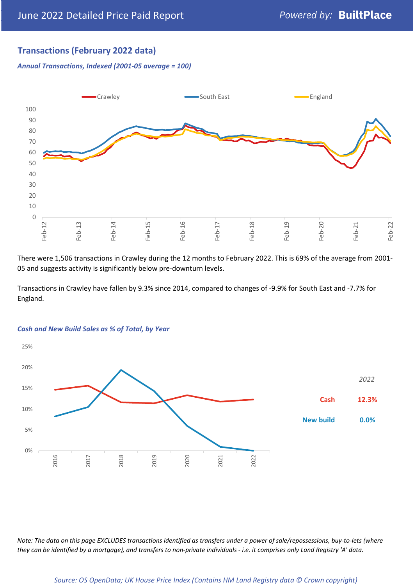# **Transactions (February 2022 data)**

*Annual Transactions, Indexed (2001-05 average = 100)*



There were 1,506 transactions in Crawley during the 12 months to February 2022. This is 69% of the average from 2001- 05 and suggests activity is significantly below pre-downturn levels.

Transactions in Crawley have fallen by 9.3% since 2014, compared to changes of -9.9% for South East and -7.7% for England.



#### *Cash and New Build Sales as % of Total, by Year*

*Note: The data on this page EXCLUDES transactions identified as transfers under a power of sale/repossessions, buy-to-lets (where they can be identified by a mortgage), and transfers to non-private individuals - i.e. it comprises only Land Registry 'A' data.*